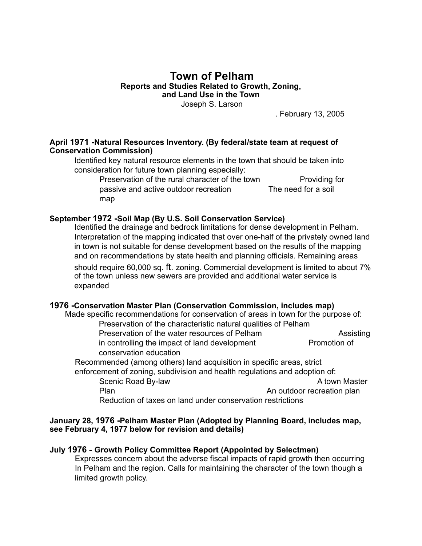# **Town of Pelham Reports and Studies Related to Growth, Zoning, and Land Use in the Town**

Joseph S. Larson

. February 13, 2005

#### **April 1971 -Natural Resources Inventory. (By federal/state team at request of Conservation Commission)**

Identified key natural resource elements in the town that should be taken into consideration for future town planning especially:

Preservation of the rural character of the town Providing for passive and active outdoor recreation The need for a soil map

#### **September 1972 -Soil Map (By U.S. Soil Conservation Service)**

Identified the drainage and bedrock limitations for dense development in Pelham. Interpretation of the mapping indicated that over one-half of the privately owned land in town is not suitable for dense development based on the results of the mapping and on recommendations by state health and planning officials. Remaining areas should require 60,000 sq. ft. zoning. Commercial development is limited to about 7% of the town unless new sewers are provided and additional water service is expanded

### **1976 -Conservation Master Plan (Conservation Commission, includes map)**

 Made specific recommendations for conservation of areas in town for the purpose of: Preservation of the characteristic natural qualities of Pelham Preservation of the water resources of Pelham Assisting in controlling the impact of land development Promotion of conservation education Recommended (among others) land acquisition in specific areas, strict

enforcement of zoning, subdivision and health regulations and adoption of: Scenic Road By-law A town Master A town Master Plan **Plan** An outdoor recreation plan

Reduction of taxes on land under conservation restrictions

#### **January 28, 1976 -Pelham Master Plan (Adopted by Planning Board, includes map, see February 4, 1977 below for revision and details)**

### **July 1976 - Growth Policy Committee Report (Appointed by Selectmen)**

Expresses concern about the adverse fiscal impacts of rapid growth then occurring In Pelham and the region. Calls for maintaining the character of the town though a limited growth policy.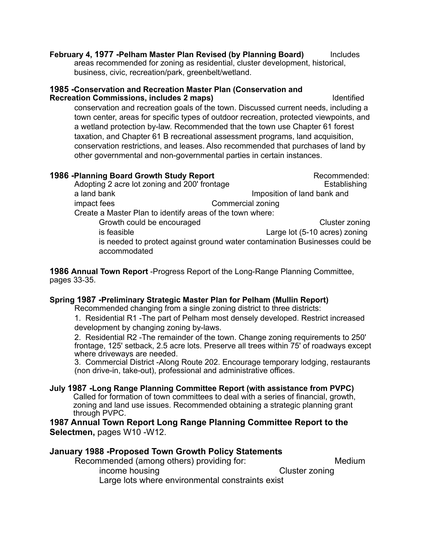**February 4, 1977 -Pelham Master Plan Revised (by Planning Board)** Includes areas recommended for zoning as residential, cluster development, historical, business, civic, recreation/park, greenbelt/wetland.

#### **1985 -Conservation and Recreation Master Plan (Conservation and Recreation Commissions, includes 2 maps)** The state of the latentified in the latentified of the state of the state of the state of the state of the state of the state of the state of the state of the state of the state o

conservation and recreation goals of the town. Discussed current needs, including a town center, areas for specific types of outdoor recreation, protected viewpoints, and a wetland protection by-law. Recommended that the town use Chapter 61 forest taxation, and Chapter 61 B recreational assessment programs, land acquisition, conservation restrictions, and leases. Also recommended that purchases of land by other governmental and non-governmental parties in certain instances.

| 1986 -Planning Board Growth Study Report                  | Recommended:                                                                |
|-----------------------------------------------------------|-----------------------------------------------------------------------------|
| Adopting 2 acre lot zoning and 200' frontage              | Establishing                                                                |
| a land bank                                               | Imposition of land bank and                                                 |
| impact fees                                               | Commercial zoning                                                           |
| Create a Master Plan to identify areas of the town where: |                                                                             |
| Growth could be encouraged                                | Cluster zoning                                                              |
| is feasible                                               | Large lot (5-10 acres) zoning                                               |
|                                                           | is needed to protect against ground water contamination Businesses could be |
| accommodated                                              |                                                                             |

**1986 Annual Town Report** -Progress Report of the Long-Range Planning Committee, pages 33-35.

### **Spring 1987 -Preliminary Strategic Master Plan for Pelham (Mullin Report)**

Recommended changing from a single zoning district to three districts:

1. Residential R1 -The part of Pelham most densely developed. Restrict increased development by changing zoning by-laws.

2. Residential R2 -The remainder of the town. Change zoning requirements to 250' frontage, 125' setback, 2.5 acre lots. Preserve all trees within 75' of roadways except where driveways are needed.

3. Commercial District -Along Route 202. Encourage temporary lodging, restaurants (non drive-in, take-out), professional and administrative offices.

**July 1987 -Long Range Planning Committee Report (with assistance from PVPC)** Called for formation of town committees to deal with a series of financial, growth, zoning and land use issues. Recommended obtaining a strategic planning grant through PVPC.

**1987 Annual Town Report Long Range Planning Committee Report to the Selectmen,** pages W10 -W12.

### **January 1988 -Proposed Town Growth Policy Statements**

Recommended (among others) providing for: Medium income housing and the contract of the Cluster zoning Large lots where environmental constraints exist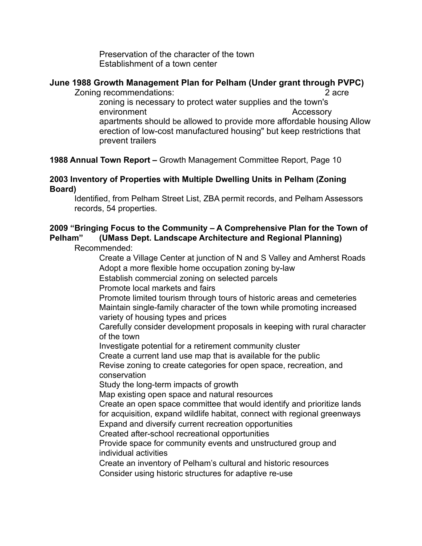Preservation of the character of the town Establishment of a town center

### **June 1988 Growth Management Plan for Pelham (Under grant through PVPC)**  Zoning recommendations: 2 acre

zoning is necessary to protect water supplies and the town's environment Accessory apartments should be allowed to provide more affordable housing Allow erection of low-cost manufactured housing" but keep restrictions that prevent trailers

# **1988 Annual Town Report –** Growth Management Committee Report, Page 10

## **2003 Inventory of Properties with Multiple Dwelling Units in Pelham (Zoning Board)**

Identified, from Pelham Street List, ZBA permit records, and Pelham Assessors records, 54 properties.

# **2009 "Bringing Focus to the Community – A Comprehensive Plan for the Town of Pelham" (UMass Dept. Landscape Architecture and Regional Planning)**

Recommended:

 Create a Village Center at junction of N and S Valley and Amherst Roads Adopt a more flexible home occupation zoning by-law

Establish commercial zoning on selected parcels

Promote local markets and fairs

 Promote limited tourism through tours of historic areas and cemeteries Maintain single-family character of the town while promoting increased variety of housing types and prices

Carefully consider development proposals in keeping with rural character of the town

Investigate potential for a retirement community cluster

Create a current land use map that is available for the public

Revise zoning to create categories for open space, recreation, and conservation

Study the long-term impacts of growth

Map existing open space and natural resources

Create an open space committee that would identify and prioritize lands for acquisition, expand wildlife habitat, connect with regional greenways Expand and diversify current recreation opportunities

Created after-school recreational opportunities

Provide space for community events and unstructured group and individual activities

Create an inventory of Pelham's cultural and historic resources

Consider using historic structures for adaptive re-use